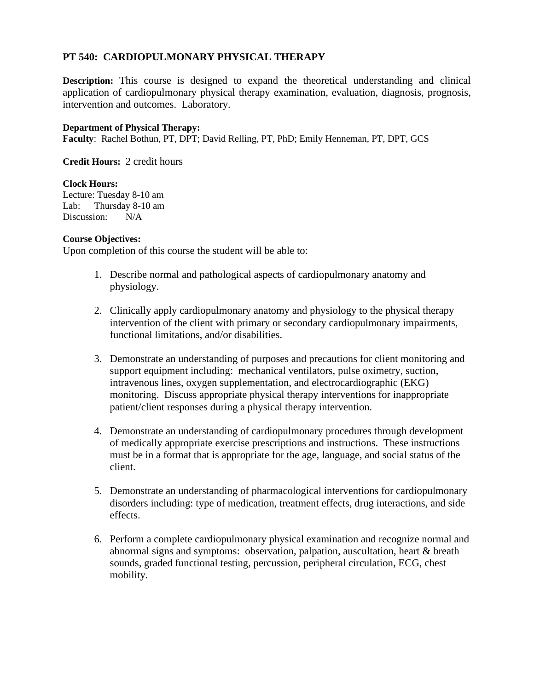# **PT 540: CARDIOPULMONARY PHYSICAL THERAPY**

**Description:** This course is designed to expand the theoretical understanding and clinical application of cardiopulmonary physical therapy examination, evaluation, diagnosis, prognosis, intervention and outcomes. Laboratory.

# **Department of Physical Therapy:**

**Faculty**: Rachel Bothun, PT, DPT; David Relling, PT, PhD; Emily Henneman, PT, DPT, GCS

**Credit Hours:** 2 credit hours

#### **Clock Hours:**

Lecture: Tuesday 8-10 am Lab: Thursday 8-10 am Discussion: N/A

#### **Course Objectives:**

Upon completion of this course the student will be able to:

- 1. Describe normal and pathological aspects of cardiopulmonary anatomy and physiology.
- 2. Clinically apply cardiopulmonary anatomy and physiology to the physical therapy intervention of the client with primary or secondary cardiopulmonary impairments, functional limitations, and/or disabilities.
- 3. Demonstrate an understanding of purposes and precautions for client monitoring and support equipment including: mechanical ventilators, pulse oximetry, suction, intravenous lines, oxygen supplementation, and electrocardiographic (EKG) monitoring. Discuss appropriate physical therapy interventions for inappropriate patient/client responses during a physical therapy intervention.
- 4. Demonstrate an understanding of cardiopulmonary procedures through development of medically appropriate exercise prescriptions and instructions. These instructions must be in a format that is appropriate for the age, language, and social status of the client.
- 5. Demonstrate an understanding of pharmacological interventions for cardiopulmonary disorders including: type of medication, treatment effects, drug interactions, and side effects.
- 6. Perform a complete cardiopulmonary physical examination and recognize normal and abnormal signs and symptoms: observation, palpation, auscultation, heart & breath sounds, graded functional testing, percussion, peripheral circulation, ECG, chest mobility.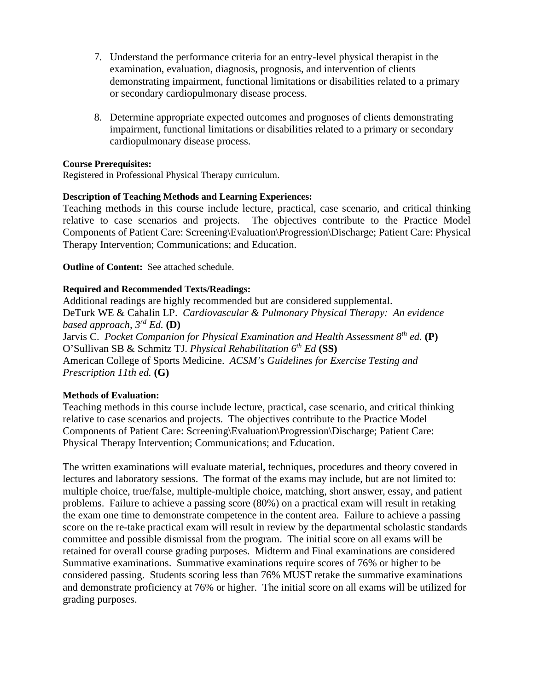- 7. Understand the performance criteria for an entry-level physical therapist in the examination, evaluation, diagnosis, prognosis, and intervention of clients demonstrating impairment, functional limitations or disabilities related to a primary or secondary cardiopulmonary disease process.
- 8. Determine appropriate expected outcomes and prognoses of clients demonstrating impairment, functional limitations or disabilities related to a primary or secondary cardiopulmonary disease process.

# **Course Prerequisites:**

Registered in Professional Physical Therapy curriculum.

# **Description of Teaching Methods and Learning Experiences:**

Teaching methods in this course include lecture, practical, case scenario, and critical thinking relative to case scenarios and projects. The objectives contribute to the Practice Model Components of Patient Care: Screening\Evaluation\Progression\Discharge; Patient Care: Physical Therapy Intervention; Communications; and Education.

# **Outline of Content:** See attached schedule.

# **Required and Recommended Texts/Readings:**

Additional readings are highly recommended but are considered supplemental. DeTurk WE & Cahalin LP. *Cardiovascular & Pulmonary Physical Therapy: An evidence based approach, 3rd Ed.* **(D)** Jarvis C. *Pocket Companion for Physical Examination and Health Assessment 8th ed.* **(P)** O'Sullivan SB & Schmitz TJ. *Physical Rehabilitation 6th Ed* **(SS)** American College of Sports Medicine. *ACSM's Guidelines for Exercise Testing and Prescription 11th ed.* **(G)**

#### **Methods of Evaluation:**

Teaching methods in this course include lecture, practical, case scenario, and critical thinking relative to case scenarios and projects. The objectives contribute to the Practice Model Components of Patient Care: Screening\Evaluation\Progression\Discharge; Patient Care: Physical Therapy Intervention; Communications; and Education.

The written examinations will evaluate material, techniques, procedures and theory covered in lectures and laboratory sessions. The format of the exams may include, but are not limited to: multiple choice, true/false, multiple-multiple choice, matching, short answer, essay, and patient problems. Failure to achieve a passing score (80%) on a practical exam will result in retaking the exam one time to demonstrate competence in the content area. Failure to achieve a passing score on the re-take practical exam will result in review by the departmental scholastic standards committee and possible dismissal from the program. The initial score on all exams will be retained for overall course grading purposes. Midterm and Final examinations are considered Summative examinations. Summative examinations require scores of 76% or higher to be considered passing. Students scoring less than 76% MUST retake the summative examinations and demonstrate proficiency at 76% or higher. The initial score on all exams will be utilized for grading purposes.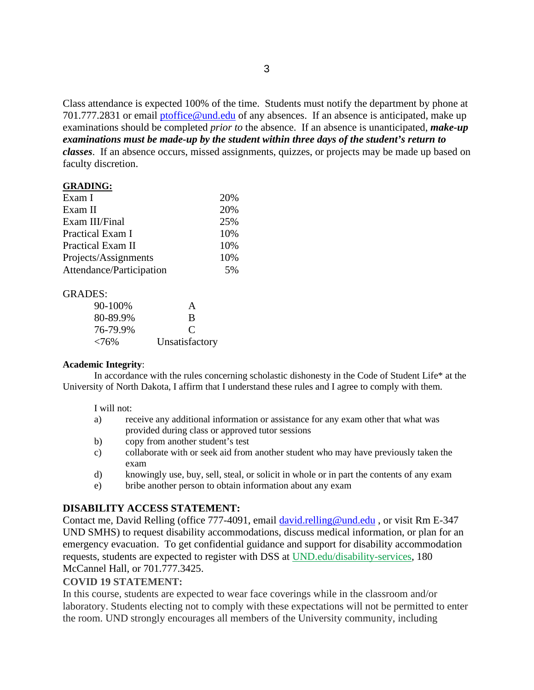Class attendance is expected 100% of the time. Students must notify the department by phone at 701.777.2831 or email [ptoffice@und.edu](mailto:ptoffice@und.edu) of any absences. If an absence is anticipated, make up examinations should be completed *prior to* the absence. If an absence is unanticipated, *make-up examinations must be made-up by the student within three days of the student's return to classes*. If an absence occurs, missed assignments, quizzes, or projects may be made up based on faculty discretion.

#### **GRADING:**

| 20% |
|-----|
| 20% |
| 25% |
| 10% |
| 10% |
| 10% |
| 5%  |
|     |

#### GRADES:

| 90-100%  | A              |
|----------|----------------|
| 80-89.9% | B              |
| 76-79.9% | $\mathcal{C}$  |
| < 76%    | Unsatisfactory |

#### **Academic Integrity**:

In accordance with the rules concerning scholastic dishonesty in the Code of Student Life\* at the University of North Dakota, I affirm that I understand these rules and I agree to comply with them.

#### I will not:

- a) receive any additional information or assistance for any exam other that what was provided during class or approved tutor sessions
- b) copy from another student's test
- c) collaborate with or seek aid from another student who may have previously taken the exam
- d) knowingly use, buy, sell, steal, or solicit in whole or in part the contents of any exam
- e) bribe another person to obtain information about any exam

# **DISABILITY ACCESS STATEMENT:**

Contact me, David Relling (office 777-4091, email [david.relling@und.edu](mailto:david.relling@und.edu), or visit Rm E-347 UND SMHS) to request disability accommodations, discuss medical information, or plan for an emergency evacuation. To get confidential guidance and support for disability accommodation requests, students are expected to register with DSS at [UND.edu/disability-services,](http://www1.und.edu/disability-services/index.cfm) 180 McCannel Hall, or 701.777.3425.

#### **COVID 19 STATEMENT:**

In this course, students are expected to wear face coverings while in the classroom and/or laboratory. Students electing not to comply with these expectations will not be permitted to enter the room. UND strongly encourages all members of the University community, including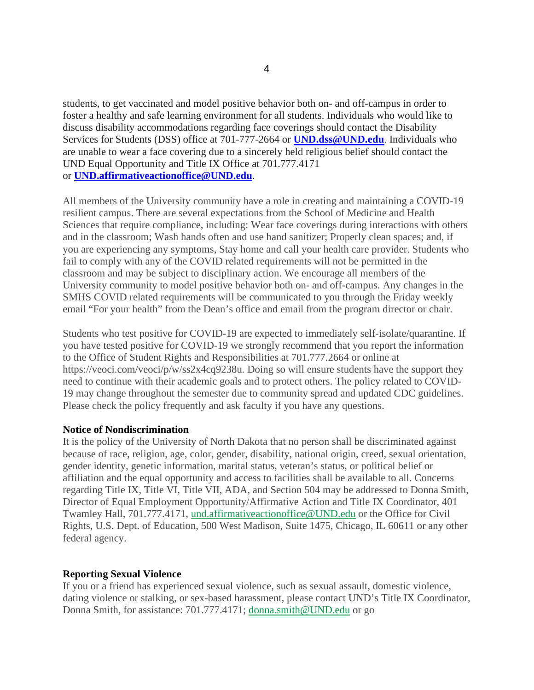students, to get vaccinated and model positive behavior both on- and off-campus in order to foster a healthy and safe learning environment for all students. Individuals who would like to discuss disability accommodations regarding face coverings should contact the Disability Services for Students (DSS) office at 701-777-2664 or **[UND.dss@UND.edu](mailto:UND.dss@UND.edu)**. Individuals who are unable to wear a face covering due to a sincerely held religious belief should contact the UND Equal Opportunity and Title IX Office at 701.777.4171 or **[UND.affirmativeactionoffice@UND.edu](mailto:UND.affirmativeactionoffice@UND.edu)**.

All members of the University community have a role in creating and maintaining a COVID-19 resilient campus. There are several expectations from the School of Medicine and Health Sciences that require compliance, including: Wear face coverings during interactions with others and in the classroom; Wash hands often and use hand sanitizer; Properly clean spaces; and, if you are experiencing any symptoms, Stay home and call your health care provider. Students who fail to comply with any of the COVID related requirements will not be permitted in the classroom and may be subject to disciplinary action. We encourage all members of the University community to model positive behavior both on- and off-campus. Any changes in the SMHS COVID related requirements will be communicated to you through the Friday weekly email "For your health" from the Dean's office and email from the program director or chair.

Students who test positive for COVID-19 are expected to immediately self-isolate/quarantine. If you have tested positive for COVID-19 we strongly recommend that you report the information to the Office of Student Rights and Responsibilities at 701.777.2664 or online at https://veoci.com/veoci/p/w/ss2x4cq9238u. Doing so will ensure students have the support they need to continue with their academic goals and to protect others. The policy related to COVID-19 may change throughout the semester due to community spread and updated CDC guidelines. Please check the policy frequently and ask faculty if you have any questions.

#### **Notice of Nondiscrimination**

It is the policy of the University of North Dakota that no person shall be discriminated against because of race, religion, age, color, gender, disability, national origin, creed, sexual orientation, gender identity, genetic information, marital status, veteran's status, or political belief or affiliation and the equal opportunity and access to facilities shall be available to all. Concerns regarding Title IX, Title VI, Title VII, ADA, and Section 504 may be addressed to Donna Smith, Director of Equal Employment Opportunity/Affirmative Action and Title IX Coordinator, 401 Twamley Hall, 701.777.4171, [und.affirmativeactionoffice@UND.edu](mailto:und.affirmativeactionoffice@UND.edu) or the Office for Civil Rights, U.S. Dept. of Education, 500 West Madison, Suite 1475, Chicago, IL 60611 or any other federal agency.

#### **Reporting Sexual Violence**

If you or a friend has experienced sexual violence, such as sexual assault, domestic violence, dating violence or stalking, or sex-based harassment, please contact UND's Title IX Coordinator, Donna Smith, for assistance: 701.777.4171; [donna.smith@UND.edu](mailto:donna.smith@UND.edu) or go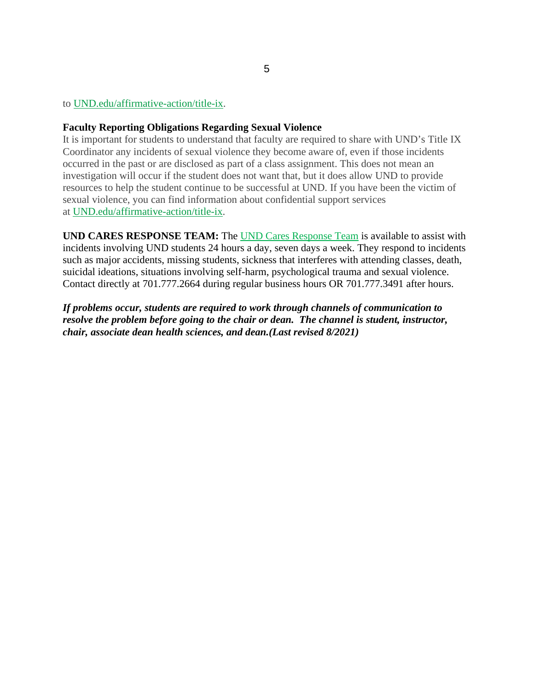### to [UND.edu/affirmative-action/title-ix.](http://www1.und.edu/affirmative-action/title-ix/index.cfm)

#### **Faculty Reporting Obligations Regarding Sexual Violence**

It is important for students to understand that faculty are required to share with UND's Title IX Coordinator any incidents of sexual violence they become aware of, even if those incidents occurred in the past or are disclosed as part of a class assignment. This does not mean an investigation will occur if the student does not want that, but it does allow UND to provide resources to help the student continue to be successful at UND. If you have been the victim of sexual violence, you can find information about confidential support services at [UND.edu/affirmative-action/title-ix.](http://www1.und.edu/affirmative-action/title-ix/index.cfm)

**UND CARES RESPONSE TEAM:** The [UND Cares Response Team](http://www1.und.edu/student-affairs/student-rights-responsibilities/care-team.cfm) is available to assist with incidents involving UND students 24 hours a day, seven days a week. They respond to incidents such as major accidents, missing students, sickness that interferes with attending classes, death, suicidal ideations, situations involving self-harm, psychological trauma and sexual violence. Contact directly at 701.777.2664 during regular business hours OR 701.777.3491 after hours.

*If problems occur, students are required to work through channels of communication to resolve the problem before going to the chair or dean. The channel is student, instructor, chair, associate dean health sciences, and dean.(Last revised 8/2021)*